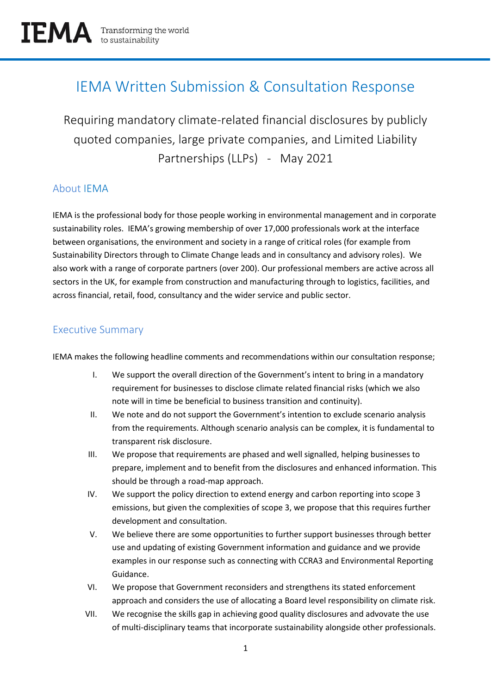# IEMA Written Submission & Consultation Response

Requiring mandatory climate-related financial disclosures by publicly quoted companies, large private companies, and Limited Liability Partnerships (LLPs) - May 2021

# About IEMA

IEMA is the professional body for those people working in environmental management and in corporate sustainability roles. IEMA's growing membership of over 17,000 professionals work at the interface between organisations, the environment and society in a range of critical roles (for example from Sustainability Directors through to Climate Change leads and in consultancy and advisory roles). We also work with a range of corporate partners (over 200). Our professional members are active across all sectors in the UK, for example from construction and manufacturing through to logistics, facilities, and across financial, retail, food, consultancy and the wider service and public sector.

# Executive Summary

IEMA makes the following headline comments and recommendations within our consultation response;

- I. We support the overall direction of the Government's intent to bring in a mandatory requirement for businesses to disclose climate related financial risks (which we also note will in time be beneficial to business transition and continuity).
- II. We note and do not support the Government's intention to exclude scenario analysis from the requirements. Although scenario analysis can be complex, it is fundamental to transparent risk disclosure.
- III. We propose that requirements are phased and well signalled, helping businesses to prepare, implement and to benefit from the disclosures and enhanced information. This should be through a road-map approach.
- IV. We support the policy direction to extend energy and carbon reporting into scope 3 emissions, but given the complexities of scope 3, we propose that this requires further development and consultation.
- V. We believe there are some opportunities to further support businesses through better use and updating of existing Government information and guidance and we provide examples in our response such as connecting with CCRA3 and Environmental Reporting Guidance.
- VI. We propose that Government reconsiders and strengthens its stated enforcement approach and considers the use of allocating a Board level responsibility on climate risk.
- VII. We recognise the skills gap in achieving good quality disclosures and advovate the use of multi-disciplinary teams that incorporate sustainability alongside other professionals.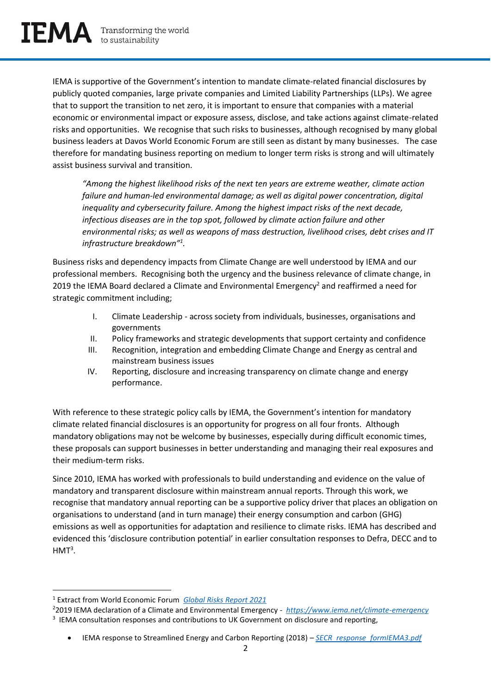IEMA is supportive of the Government's intention to mandate climate-related financial disclosures by publicly quoted companies, large private companies and Limited Liability Partnerships (LLPs). We agree that to support the transition to net zero, it is important to ensure that companies with a material economic or environmental impact or exposure assess, disclose, and take actions against climate-related risks and opportunities. We recognise that such risks to businesses, although recognised by many global business leaders at Davos World Economic Forum are still seen as distant by many businesses. The case therefore for mandating business reporting on medium to longer term risks is strong and will ultimately assist business survival and transition.

*"Among the highest likelihood risks of the next ten years are extreme weather, climate action failure and human-led environmental damage; as well as digital power concentration, digital inequality and cybersecurity failure. Among the highest impact risks of the next decade, infectious diseases are in the top spot, followed by climate action failure and other environmental risks; as well as weapons of mass destruction, livelihood crises, debt crises and IT infrastructure breakdown"<sup>1</sup> .* 

Business risks and dependency impacts from Climate Change are well understood by IEMA and our professional members. Recognising both the urgency and the business relevance of climate change, in 2019 the IEMA Board declared a Climate and Environmental Emergency<sup>2</sup> and reaffirmed a need for strategic commitment including;

- I. Climate Leadership across society from individuals, businesses, organisations and governments
- II. Policy frameworks and strategic developments that support certainty and confidence
- III. Recognition, integration and embedding Climate Change and Energy as central and mainstream business issues
- IV. Reporting, disclosure and increasing transparency on climate change and energy performance.

With reference to these strategic policy calls by IEMA, the Government's intention for mandatory climate related financial disclosures is an opportunity for progress on all four fronts. Although mandatory obligations may not be welcome by businesses, especially during difficult economic times, these proposals can support businesses in better understanding and managing their real exposures and their medium-term risks.

Since 2010, IEMA has worked with professionals to build understanding and evidence on the value of mandatory and transparent disclosure within mainstream annual reports. Through this work, we recognise that mandatory annual reporting can be a supportive policy driver that places an obligation on organisations to understand (and in turn manage) their energy consumption and carbon (GHG) emissions as well as opportunities for adaptation and resilience to climate risks. IEMA has described and evidenced this 'disclosure contribution potential' in earlier consultation responses to Defra, DECC and to  $HMT<sup>3</sup>$ .

<sup>1</sup> Extract from World Economic Forum *[Global Risks Report 2021](http://www3.weforum.org/docs/WEF_The_Global_Risks_Report_2021.pdf)*

<sup>2</sup>2019 IEMA declaration of a Climate and Environmental Emergency - *<https://www.iema.net/climate-emergency>* <sup>3</sup> IEMA consultation responses and contributions to UK Government on disclosure and reporting,

<sup>•</sup> IEMA response to Streamlined Energy and Carbon Reporting (2018) – *[SECR\\_response\\_formIEMA3.pdf](https://s3.eu-west-2.amazonaws.com/iema.net/documents/SECR_response_formIEMA3.pdf?mtime=20210505131645&focal=none)*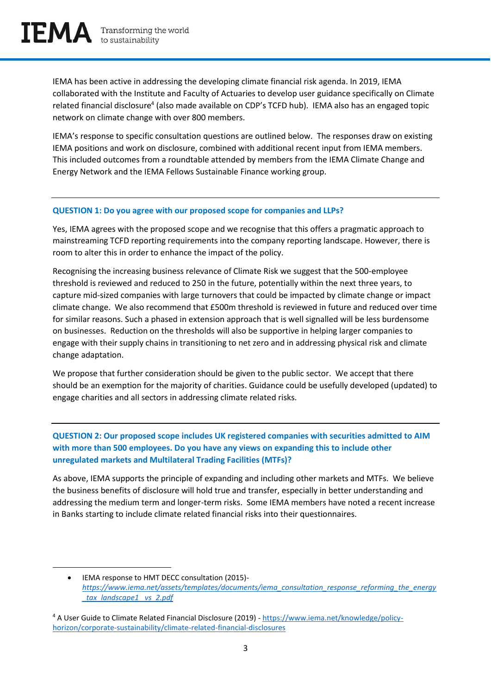IEMA has been active in addressing the developing climate financial risk agenda. In 2019, IEMA collaborated with the Institute and Faculty of Actuaries to develop user guidance specifically on Climate related financial disclosure<sup>4</sup> (also made available on CDP's TCFD hub). IEMA also has an engaged topic network on climate change with over 800 members.

IEMA's response to specific consultation questions are outlined below. The responses draw on existing IEMA positions and work on disclosure, combined with additional recent input from IEMA members. This included outcomes from a roundtable attended by members from the IEMA Climate Change and Energy Network and the IEMA Fellows Sustainable Finance working group.

#### **QUESTION 1: Do you agree with our proposed scope for companies and LLPs?**

Yes, IEMA agrees with the proposed scope and we recognise that this offers a pragmatic approach to mainstreaming TCFD reporting requirements into the company reporting landscape. However, there is room to alter this in order to enhance the impact of the policy.

Recognising the increasing business relevance of Climate Risk we suggest that the 500-employee threshold is reviewed and reduced to 250 in the future, potentially within the next three years, to capture mid-sized companies with large turnovers that could be impacted by climate change or impact climate change. We also recommend that £500m threshold is reviewed in future and reduced over time for similar reasons. Such a phased in extension approach that is well signalled will be less burdensome on businesses. Reduction on the thresholds will also be supportive in helping larger companies to engage with their supply chains in transitioning to net zero and in addressing physical risk and climate change adaptation.

We propose that further consideration should be given to the public sector. We accept that there should be an exemption for the majority of charities. Guidance could be usefully developed (updated) to engage charities and all sectors in addressing climate related risks.

**QUESTION 2: Our proposed scope includes UK registered companies with securities admitted to AIM with more than 500 employees. Do you have any views on expanding this to include other unregulated markets and Multilateral Trading Facilities (MTFs)?** 

As above, IEMA supports the principle of expanding and including other markets and MTFs. We believe the business benefits of disclosure will hold true and transfer, especially in better understanding and addressing the medium term and longer-term risks. Some IEMA members have noted a recent increase in Banks starting to include climate related financial risks into their questionnaires.

<sup>•</sup> IEMA response to HMT DECC consultation (2015) *[https://www.iema.net/assets/templates/documents/iema\\_consultation\\_response\\_reforming\\_the\\_energy](https://www.iema.net/assets/templates/documents/iema_consultation_response_reforming_the_energy_tax_landscape1%20_vs_2.pdf) [\\_tax\\_landscape1 \\_vs\\_2.pdf](https://www.iema.net/assets/templates/documents/iema_consultation_response_reforming_the_energy_tax_landscape1%20_vs_2.pdf)*

<sup>4</sup> A User Guide to Climate Related Financial Disclosure (2019) - [https://www.iema.net/knowledge/policy](https://www.iema.net/knowledge/policy-horizon/corporate-sustainability/climate-related-financial-disclosures)[horizon/corporate-sustainability/climate-related-financial-disclosures](https://www.iema.net/knowledge/policy-horizon/corporate-sustainability/climate-related-financial-disclosures)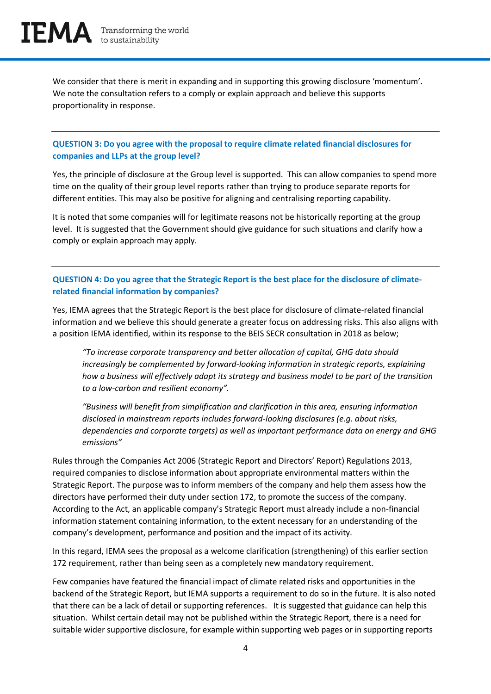We consider that there is merit in expanding and in supporting this growing disclosure 'momentum'. We note the consultation refers to a comply or explain approach and believe this supports proportionality in response.

#### **QUESTION 3: Do you agree with the proposal to require climate related financial disclosures for companies and LLPs at the group level?**

Yes, the principle of disclosure at the Group level is supported. This can allow companies to spend more time on the quality of their group level reports rather than trying to produce separate reports for different entities. This may also be positive for aligning and centralising reporting capability.

It is noted that some companies will for legitimate reasons not be historically reporting at the group level. It is suggested that the Government should give guidance for such situations and clarify how a comply or explain approach may apply.

## **QUESTION 4: Do you agree that the Strategic Report is the best place for the disclosure of climaterelated financial information by companies?**

Yes, IEMA agrees that the Strategic Report is the best place for disclosure of climate-related financial information and we believe this should generate a greater focus on addressing risks. This also aligns with a position IEMA identified, within its response to the BEIS SECR consultation in 2018 as below;

*"To increase corporate transparency and better allocation of capital, GHG data should increasingly be complemented by forward-looking information in strategic reports, explaining how a business will effectively adapt its strategy and business model to be part of the transition to a low-carbon and resilient economy".* 

*"Business will benefit from simplification and clarification in this area, ensuring information disclosed in mainstream reports includes forward-looking disclosures (e.g. about risks, dependencies and corporate targets) as well as important performance data on energy and GHG emissions"*

Rules through the Companies Act 2006 (Strategic Report and Directors' Report) Regulations 2013, required companies to disclose information about appropriate environmental matters within the Strategic Report. The purpose was to inform members of the company and help them assess how the directors have performed their duty under section 172, to promote the success of the company. According to the Act, an applicable company's Strategic Report must already include a non-financial information statement containing information, to the extent necessary for an understanding of the company's development, performance and position and the impact of its activity.

In this regard, IEMA sees the proposal as a welcome clarification (strengthening) of this earlier section 172 requirement, rather than being seen as a completely new mandatory requirement.

Few companies have featured the financial impact of climate related risks and opportunities in the backend of the Strategic Report, but IEMA supports a requirement to do so in the future. It is also noted that there can be a lack of detail or supporting references. It is suggested that guidance can help this situation. Whilst certain detail may not be published within the Strategic Report, there is a need for suitable wider supportive disclosure, for example within supporting web pages or in supporting reports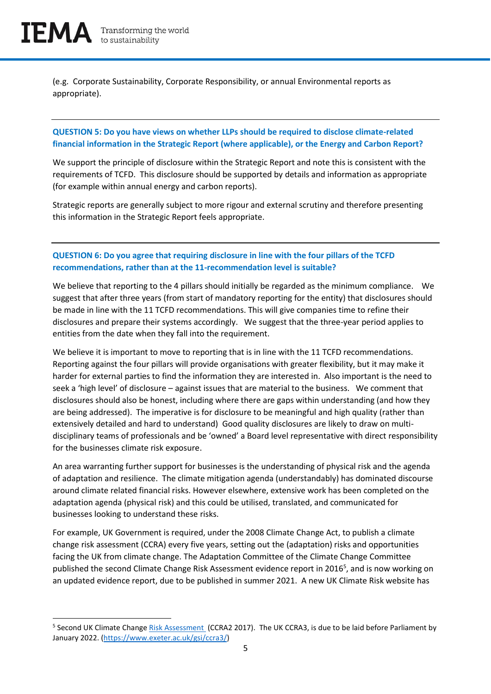(e.g. Corporate Sustainability, Corporate Responsibility, or annual Environmental reports as appropriate).

## **QUESTION 5: Do you have views on whether LLPs should be required to disclose climate-related financial information in the Strategic Report (where applicable), or the Energy and Carbon Report?**

We support the principle of disclosure within the Strategic Report and note this is consistent with the requirements of TCFD. This disclosure should be supported by details and information as appropriate (for example within annual energy and carbon reports).

Strategic reports are generally subject to more rigour and external scrutiny and therefore presenting this information in the Strategic Report feels appropriate.

## **QUESTION 6: Do you agree that requiring disclosure in line with the four pillars of the TCFD recommendations, rather than at the 11-recommendation level is suitable?**

We believe that reporting to the 4 pillars should initially be regarded as the minimum compliance. We suggest that after three years (from start of mandatory reporting for the entity) that disclosures should be made in line with the 11 TCFD recommendations. This will give companies time to refine their disclosures and prepare their systems accordingly. We suggest that the three-year period applies to entities from the date when they fall into the requirement.

We believe it is important to move to reporting that is in line with the 11 TCFD recommendations. Reporting against the four pillars will provide organisations with greater flexibility, but it may make it harder for external parties to find the information they are interested in. Also important is the need to seek a 'high level' of disclosure – against issues that are material to the business. We comment that disclosures should also be honest, including where there are gaps within understanding (and how they are being addressed). The imperative is for disclosure to be meaningful and high quality (rather than extensively detailed and hard to understand) Good quality disclosures are likely to draw on multidisciplinary teams of professionals and be 'owned' a Board level representative with direct responsibility for the businesses climate risk exposure.

An area warranting further support for businesses is the understanding of physical risk and the agenda of adaptation and resilience. The climate mitigation agenda (understandably) has dominated discourse around climate related financial risks. However elsewhere, extensive work has been completed on the adaptation agenda (physical risk) and this could be utilised, translated, and communicated for businesses looking to understand these risks.

For example, UK Government is required, under the 2008 Climate Change Act, to publish a climate change risk assessment (CCRA) every five years, setting out the (adaptation) risks and opportunities facing the UK from climate change. The Adaptation Committee of the Climate Change Committee published the second Climate Change Risk Assessment evidence report in 2016<sup>5</sup>, and is now working on an updated evidence report, due to be published in summer 2021. A new UK Climate Risk website has

<sup>&</sup>lt;sup>5</sup> Second UK Climate Change *Risk Assessment* (CCRA2 2017). The UK CCRA3, is due to be laid before Parliament by January 2022. [\(https://www.exeter.ac.uk/gsi/ccra3/\)](https://www.exeter.ac.uk/gsi/ccra3/)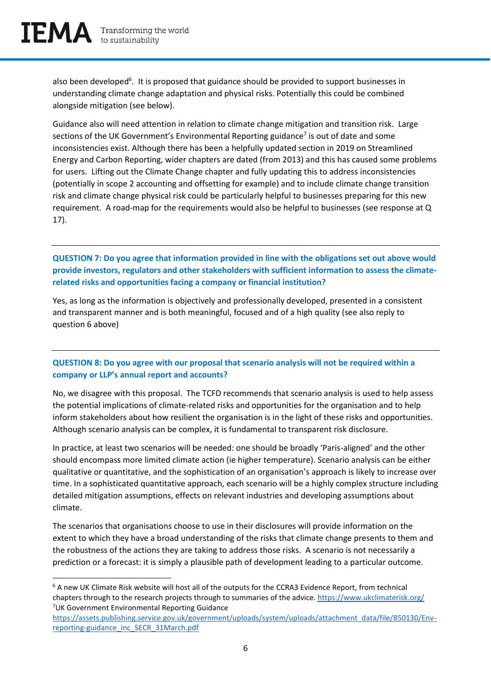also been developed<sup>6</sup>. It is proposed that guidance should be provided to support businesses in understanding climate change adaptation and physical risks. Potentially this could be combined alongside mitigation (see below).

Guidance also will need attention in relation to climate change mitigation and transition risk. Large sections of the UK Government's Environmental Reporting guidance<sup>7</sup> is out of date and some inconsistencies exist. Although there has been a helpfully updated section in 2019 on Streamlined Energy and Carbon Reporting, wider chapters are dated (from 2013) and this has caused some problems for users. Lifting out the Climate Change chapter and fully updating this to address inconsistencies (potentially in scope 2 accounting and offsetting for example) and to include climate change transition risk and climate change physical risk could be particularly helpful to businesses preparing for this new requirement. A road-map for the requirements would also be helpful to businesses (see response at Q 17).

**QUESTION 7: Do you agree that information provided in line with the obligations set out above would provide investors, regulators and other stakeholders with sufficient information to assess the climaterelated risks and opportunities facing a company or financial institution?** 

Yes, as long as the information is objectively and professionally developed, presented in a consistent and transparent manner and is both meaningful, focused and of a high quality (see also reply to question 6 above)

#### **QUESTION 8: Do you agree with our proposal that scenario analysis will not be required within a company or LLP's annual report and accounts?**

No, we disagree with this proposal. The TCFD recommends that scenario analysis is used to help assess the potential implications of climate-related risks and opportunities for the organisation and to help inform stakeholders about how resilient the organisation is in the light of these risks and opportunities. Although scenario analysis can be complex, it is fundamental to transparent risk disclosure.

In practice, at least two scenarios will be needed: one should be broadly 'Paris-aligned' and the other should encompass more limited climate action (ie higher temperature). Scenario analysis can be either qualitative or quantitative, and the sophistication of an organisation's approach is likely to increase over time. In a sophisticated quantitative approach, each scenario will be a highly complex structure including detailed mitigation assumptions, effects on relevant industries and developing assumptions about climate.

The scenarios that organisations choose to use in their disclosures will provide information on the extent to which they have a broad understanding of the risks that climate change presents to them and the robustness of the actions they are taking to address those risks. A scenario is not necessarily a prediction or a forecast: it is simply a plausible path of development leading to a particular outcome.

<sup>&</sup>lt;sup>6</sup> A new UK Climate Risk website will host all of the outputs for the CCRA3 Evidence Report, from technical chapters through to the research projects through to summaries of the advice.<https://www.ukclimaterisk.org/> <sup>7</sup>UK Government Environmental Reporting Guidance

[https://assets.publishing.service.gov.uk/government/uploads/system/uploads/attachment\\_data/file/850130/Env](https://assets.publishing.service.gov.uk/government/uploads/system/uploads/attachment_data/file/850130/Env-reporting-guidance_inc_SECR_31March.pdf)[reporting-guidance\\_inc\\_SECR\\_31March.pdf](https://assets.publishing.service.gov.uk/government/uploads/system/uploads/attachment_data/file/850130/Env-reporting-guidance_inc_SECR_31March.pdf)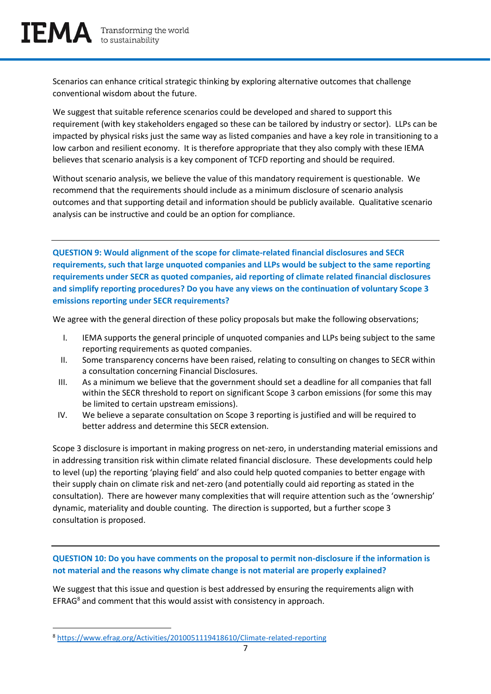Scenarios can enhance critical strategic thinking by exploring alternative outcomes that challenge conventional wisdom about the future.

We suggest that suitable reference scenarios could be developed and shared to support this requirement (with key stakeholders engaged so these can be tailored by industry or sector). LLPs can be impacted by physical risks just the same way as listed companies and have a key role in transitioning to a low carbon and resilient economy. It is therefore appropriate that they also comply with these IEMA believes that scenario analysis is a key component of TCFD reporting and should be required.

Without scenario analysis, we believe the value of this mandatory requirement is questionable. We recommend that the requirements should include as a minimum disclosure of scenario analysis outcomes and that supporting detail and information should be publicly available. Qualitative scenario analysis can be instructive and could be an option for compliance.

**QUESTION 9: Would alignment of the scope for climate-related financial disclosures and SECR requirements, such that large unquoted companies and LLPs would be subject to the same reporting requirements under SECR as quoted companies, aid reporting of climate related financial disclosures and simplify reporting procedures? Do you have any views on the continuation of voluntary Scope 3 emissions reporting under SECR requirements?** 

We agree with the general direction of these policy proposals but make the following observations;

- I. IEMA supports the general principle of unquoted companies and LLPs being subject to the same reporting requirements as quoted companies.
- II. Some transparency concerns have been raised, relating to consulting on changes to SECR within a consultation concerning Financial Disclosures.
- III. As a minimum we believe that the government should set a deadline for all companies that fall within the SECR threshold to report on significant Scope 3 carbon emissions (for some this may be limited to certain upstream emissions).
- IV. We believe a separate consultation on Scope 3 reporting is justified and will be required to better address and determine this SECR extension.

Scope 3 disclosure is important in making progress on net-zero, in understanding material emissions and in addressing transition risk within climate related financial disclosure. These developments could help to level (up) the reporting 'playing field' and also could help quoted companies to better engage with their supply chain on climate risk and net-zero (and potentially could aid reporting as stated in the consultation). There are however many complexities that will require attention such as the 'ownership' dynamic, materiality and double counting. The direction is supported, but a further scope 3 consultation is proposed.

## **QUESTION 10: Do you have comments on the proposal to permit non-disclosure if the information is not material and the reasons why climate change is not material are properly explained?**

We suggest that this issue and question is best addressed by ensuring the requirements align with EFRAG<sup>8</sup> and comment that this would assist with consistency in approach.

<sup>8</sup> <https://www.efrag.org/Activities/2010051119418610/Climate-related-reporting>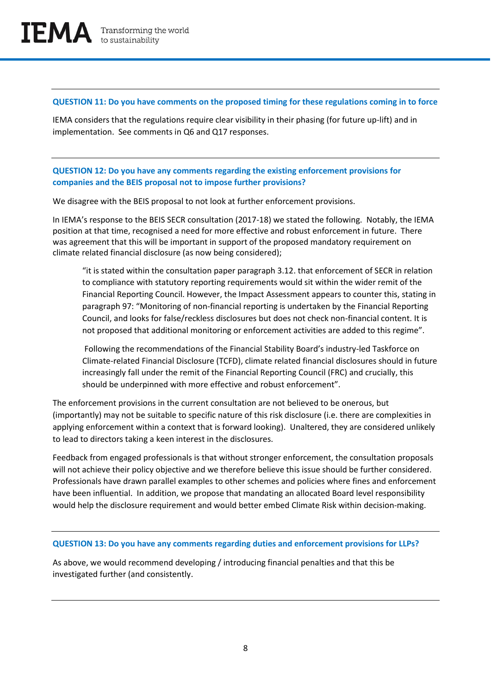#### **QUESTION 11: Do you have comments on the proposed timing for these regulations coming in to force**

IEMA considers that the regulations require clear visibility in their phasing (for future up-lift) and in implementation. See comments in Q6 and Q17 responses.

## **QUESTION 12: Do you have any comments regarding the existing enforcement provisions for companies and the BEIS proposal not to impose further provisions?**

We disagree with the BEIS proposal to not look at further enforcement provisions.

In IEMA's response to the BEIS SECR consultation (2017-18) we stated the following. Notably, the IEMA position at that time, recognised a need for more effective and robust enforcement in future. There was agreement that this will be important in support of the proposed mandatory requirement on climate related financial disclosure (as now being considered);

"it is stated within the consultation paper paragraph 3.12. that enforcement of SECR in relation to compliance with statutory reporting requirements would sit within the wider remit of the Financial Reporting Council. However, the Impact Assessment appears to counter this, stating in paragraph 97: "Monitoring of non-financial reporting is undertaken by the Financial Reporting Council, and looks for false/reckless disclosures but does not check non-financial content. It is not proposed that additional monitoring or enforcement activities are added to this regime".

Following the recommendations of the Financial Stability Board's industry-led Taskforce on Climate-related Financial Disclosure (TCFD), climate related financial disclosures should in future increasingly fall under the remit of the Financial Reporting Council (FRC) and crucially, this should be underpinned with more effective and robust enforcement".

The enforcement provisions in the current consultation are not believed to be onerous, but (importantly) may not be suitable to specific nature of this risk disclosure (i.e. there are complexities in applying enforcement within a context that is forward looking). Unaltered, they are considered unlikely to lead to directors taking a keen interest in the disclosures.

Feedback from engaged professionals is that without stronger enforcement, the consultation proposals will not achieve their policy objective and we therefore believe this issue should be further considered. Professionals have drawn parallel examples to other schemes and policies where fines and enforcement have been influential. In addition, we propose that mandating an allocated Board level responsibility would help the disclosure requirement and would better embed Climate Risk within decision-making.

#### **QUESTION 13: Do you have any comments regarding duties and enforcement provisions for LLPs?**

As above, we would recommend developing / introducing financial penalties and that this be investigated further (and consistently.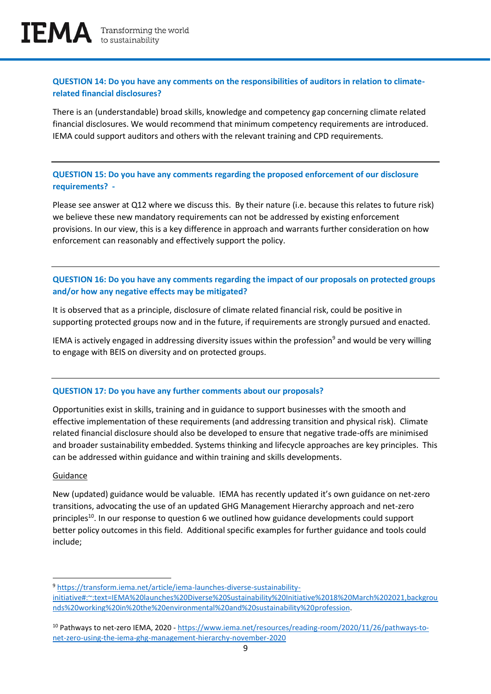## **QUESTION 14: Do you have any comments on the responsibilities of auditors in relation to climaterelated financial disclosures?**

There is an (understandable) broad skills, knowledge and competency gap concerning climate related financial disclosures. We would recommend that minimum competency requirements are introduced. IEMA could support auditors and others with the relevant training and CPD requirements.

**QUESTION 15: Do you have any comments regarding the proposed enforcement of our disclosure requirements? -** 

Please see answer at Q12 where we discuss this. By their nature (i.e. because this relates to future risk) we believe these new mandatory requirements can not be addressed by existing enforcement provisions. In our view, this is a key difference in approach and warrants further consideration on how enforcement can reasonably and effectively support the policy.

## **QUESTION 16: Do you have any comments regarding the impact of our proposals on protected groups and/or how any negative effects may be mitigated?**

It is observed that as a principle, disclosure of climate related financial risk, could be positive in supporting protected groups now and in the future, if requirements are strongly pursued and enacted.

IEMA is actively engaged in addressing diversity issues within the profession<sup>9</sup> and would be very willing to engage with BEIS on diversity and on protected groups.

#### **QUESTION 17: Do you have any further comments about our proposals?**

Opportunities exist in skills, training and in guidance to support businesses with the smooth and effective implementation of these requirements (and addressing transition and physical risk). Climate related financial disclosure should also be developed to ensure that negative trade-offs are minimised and broader sustainability embedded. Systems thinking and lifecycle approaches are key principles. This can be addressed within guidance and within training and skills developments.

#### Guidance

New (updated) guidance would be valuable. IEMA has recently updated it's own guidance on net-zero transitions, advocating the use of an updated GHG Management Hierarchy approach and net-zero principles<sup>10</sup>. In our response to question 6 we outlined how guidance developments could support better policy outcomes in this field. Additional specific examples for further guidance and tools could include;

<sup>9</sup> [https://transform.iema.net/article/iema-launches-diverse-sustainability](https://transform.iema.net/article/iema-launches-diverse-sustainability-initiative#:~:text=IEMA%20launches%20Diverse%20Sustainability%20Initiative%2018%20March%202021,backgrounds%20working%20in%20the%20environmental%20and%20sustainability%20profession)[initiative#:~:text=IEMA%20launches%20Diverse%20Sustainability%20Initiative%2018%20March%202021,backgrou](https://transform.iema.net/article/iema-launches-diverse-sustainability-initiative#:~:text=IEMA%20launches%20Diverse%20Sustainability%20Initiative%2018%20March%202021,backgrounds%20working%20in%20the%20environmental%20and%20sustainability%20profession) [nds%20working%20in%20the%20environmental%20and%20sustainability%20profession.](https://transform.iema.net/article/iema-launches-diverse-sustainability-initiative#:~:text=IEMA%20launches%20Diverse%20Sustainability%20Initiative%2018%20March%202021,backgrounds%20working%20in%20the%20environmental%20and%20sustainability%20profession)

<sup>&</sup>lt;sup>10</sup> Pathways to net-zero IEMA, 2020 - [https://www.iema.net/resources/reading-room/2020/11/26/pathways-to](https://www.iema.net/resources/reading-room/2020/11/26/pathways-to-net-zero-using-the-iema-ghg-management-hierarchy-november-2020)[net-zero-using-the-iema-ghg-management-hierarchy-november-2020](https://www.iema.net/resources/reading-room/2020/11/26/pathways-to-net-zero-using-the-iema-ghg-management-hierarchy-november-2020)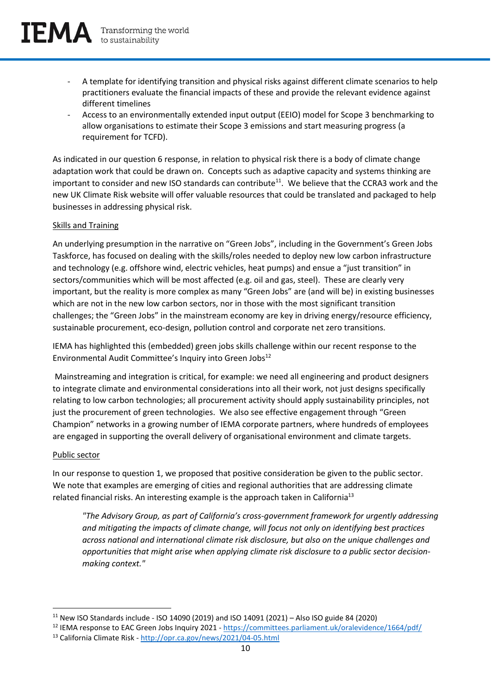- A template for identifying transition and physical risks against different climate scenarios to help practitioners evaluate the financial impacts of these and provide the relevant evidence against different timelines
- Access to an environmentally extended input output (EEIO) model for Scope 3 benchmarking to allow organisations to estimate their Scope 3 emissions and start measuring progress (a requirement for TCFD).

As indicated in our question 6 response, in relation to physical risk there is a body of climate change adaptation work that could be drawn on. Concepts such as adaptive capacity and systems thinking are important to consider and new ISO standards can contribute<sup>11</sup>. We believe that the CCRA3 work and the new UK Climate Risk website will offer valuable resources that could be translated and packaged to help businesses in addressing physical risk.

#### Skills and Training

An underlying presumption in the narrative on "Green Jobs", including in the Government's Green Jobs Taskforce, has focused on dealing with the skills/roles needed to deploy new low carbon infrastructure and technology (e.g. offshore wind, electric vehicles, heat pumps) and ensue a "just transition" in sectors/communities which will be most affected (e.g. oil and gas, steel). These are clearly very important, but the reality is more complex as many "Green Jobs" are (and will be) in existing businesses which are not in the new low carbon sectors, nor in those with the most significant transition challenges; the "Green Jobs" in the mainstream economy are key in driving energy/resource efficiency, sustainable procurement, eco-design, pollution control and corporate net zero transitions.

IEMA has highlighted this (embedded) green jobs skills challenge within our recent response to the Environmental Audit Committee's Inquiry into Green Jobs<sup>12</sup>

Mainstreaming and integration is critical, for example: we need all engineering and product designers to integrate climate and environmental considerations into all their work, not just designs specifically relating to low carbon technologies; all procurement activity should apply sustainability principles, not just the procurement of green technologies. We also see effective engagement through "Green Champion" networks in a growing number of IEMA corporate partners, where hundreds of employees are engaged in supporting the overall delivery of organisational environment and climate targets.

#### Public sector

In our response to question 1, we proposed that positive consideration be given to the public sector. We note that examples are emerging of cities and regional authorities that are addressing climate related financial risks. An interesting example is the approach taken in California<sup>13</sup>

*"The Advisory Group, as part of California's cross-government framework for urgently addressing and mitigating the impacts of climate change, will focus not only on identifying best practices across national and international climate risk disclosure, but also on the unique challenges and opportunities that might arise when applying climate risk disclosure to a public sector decisionmaking context."*

<sup>11</sup> New ISO Standards include - ISO 14090 (2019) and ISO 14091 (2021) – Also ISO guide 84 (2020)

<sup>&</sup>lt;sup>12</sup> IEMA response to EAC Green Jobs Inquiry 2021 - <https://committees.parliament.uk/oralevidence/1664/pdf/> <sup>13</sup> California Climate Risk - <http://opr.ca.gov/news/2021/04-05.html>